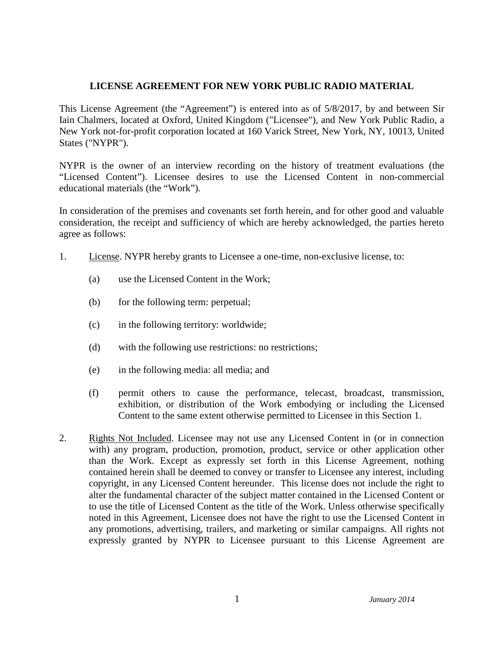## **LICENSE AGREEMENT FOR NEW YORK PUBLIC RADIO MATERIAL**

This License Agreement (the "Agreement") is entered into as of 5/8/2017, by and between Sir Iain Chalmers, located at Oxford, United Kingdom ("Licensee"), and New York Public Radio, a New York not-for-profit corporation located at 160 Varick Street, New York, NY, 10013, United States ("NYPR").

NYPR is the owner of an interview recording on the history of treatment evaluations (the "Licensed Content"). Licensee desires to use the Licensed Content in non-commercial educational materials (the "Work").

In consideration of the premises and covenants set forth herein, and for other good and valuable consideration, the receipt and sufficiency of which are hereby acknowledged, the parties hereto agree as follows:

- 1. License. NYPR hereby grants to Licensee a one-time, non-exclusive license, to:
	- (a) use the Licensed Content in the Work;
	- (b) for the following term: perpetual;
	- (c) in the following territory: worldwide;
	- (d) with the following use restrictions: no restrictions;
	- (e) in the following media: all media; and
	- (f) permit others to cause the performance, telecast, broadcast, transmission, exhibition, or distribution of the Work embodying or including the Licensed Content to the same extent otherwise permitted to Licensee in this Section 1.
- 2. Rights Not Included. Licensee may not use any Licensed Content in (or in connection with) any program, production, promotion, product, service or other application other than the Work. Except as expressly set forth in this License Agreement, nothing contained herein shall be deemed to convey or transfer to Licensee any interest, including copyright, in any Licensed Content hereunder. This license does not include the right to alter the fundamental character of the subject matter contained in the Licensed Content or to use the title of Licensed Content as the title of the Work. Unless otherwise specifically noted in this Agreement, Licensee does not have the right to use the Licensed Content in any promotions, advertising, trailers, and marketing or similar campaigns. All rights not expressly granted by NYPR to Licensee pursuant to this License Agreement are